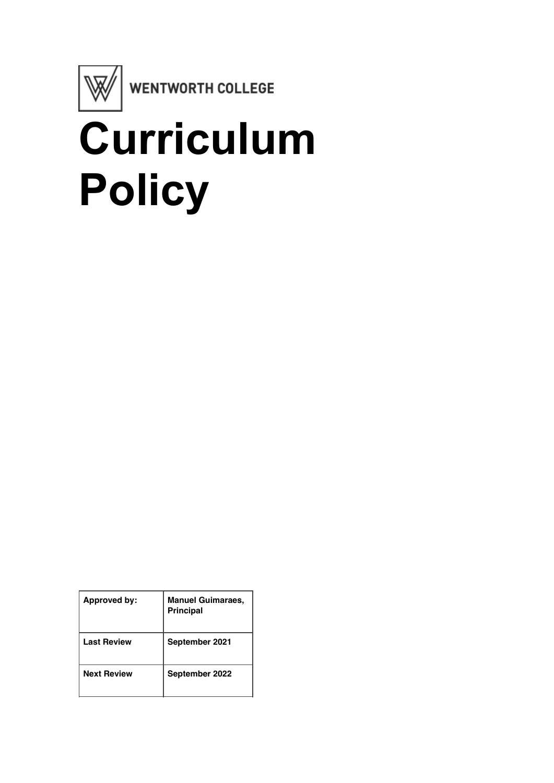

WENTWORTH COLLEGE

# **Curriculum Policy**

| Approved by:       | <b>Manuel Guimaraes,</b><br><b>Principal</b> |
|--------------------|----------------------------------------------|
| <b>Last Review</b> | September 2021                               |
| <b>Next Review</b> | September 2022                               |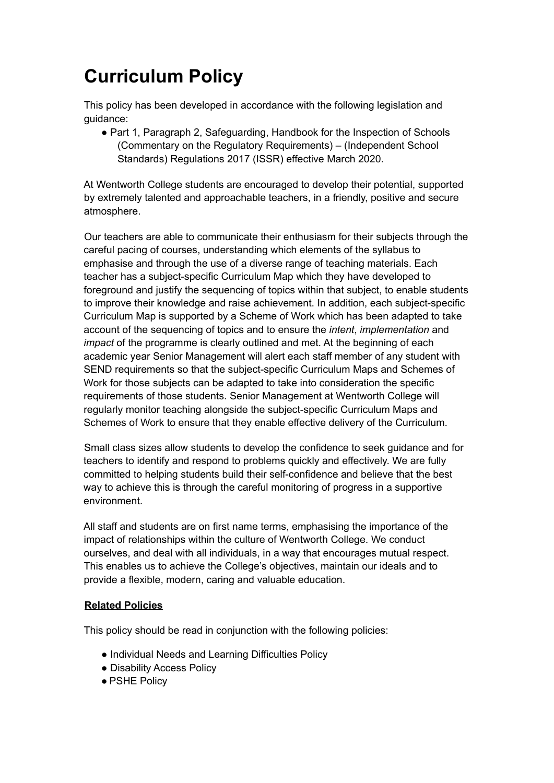# **Curriculum Policy**

This policy has been developed in accordance with the following legislation and guidance:

● Part 1, Paragraph 2, Safeguarding, Handbook for the Inspection of Schools (Commentary on the Regulatory Requirements) – (Independent School Standards) Regulations 2017 (ISSR) effective March 2020.

At Wentworth College students are encouraged to develop their potential, supported by extremely talented and approachable teachers, in a friendly, positive and secure atmosphere.

Our teachers are able to communicate their enthusiasm for their subjects through the careful pacing of courses, understanding which elements of the syllabus to emphasise and through the use of a diverse range of teaching materials. Each teacher has a subject-specific Curriculum Map which they have developed to foreground and justify the sequencing of topics within that subject, to enable students to improve their knowledge and raise achievement. In addition, each subject-specific Curriculum Map is supported by a Scheme of Work which has been adapted to take account of the sequencing of topics and to ensure the *intent*, *implementation* and *impact* of the programme is clearly outlined and met. At the beginning of each academic year Senior Management will alert each staff member of any student with SEND requirements so that the subject-specific Curriculum Maps and Schemes of Work for those subjects can be adapted to take into consideration the specific requirements of those students. Senior Management at Wentworth College will regularly monitor teaching alongside the subject-specific Curriculum Maps and Schemes of Work to ensure that they enable effective delivery of the Curriculum.

Small class sizes allow students to develop the confidence to seek guidance and for teachers to identify and respond to problems quickly and effectively. We are fully committed to helping students build their self-confidence and believe that the best way to achieve this is through the careful monitoring of progress in a supportive environment.

All staff and students are on first name terms, emphasising the importance of the impact of relationships within the culture of Wentworth College. We conduct ourselves, and deal with all individuals, in a way that encourages mutual respect. This enables us to achieve the College's objectives, maintain our ideals and to provide a flexible, modern, caring and valuable education.

## **Related Policies**

This policy should be read in conjunction with the following policies:

- Individual Needs and Learning Difficulties Policy
- Disability Access Policy
- PSHE Policy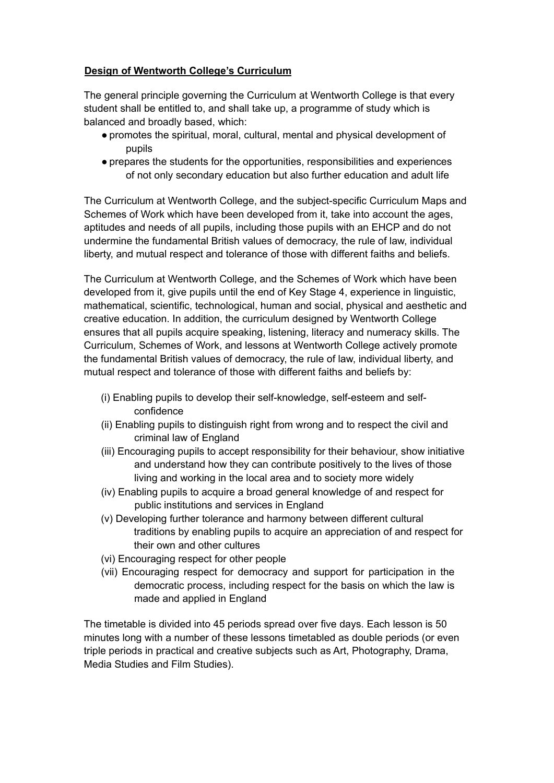# **Design of Wentworth College's Curriculum**

The general principle governing the Curriculum at Wentworth College is that every student shall be entitled to, and shall take up, a programme of study which is balanced and broadly based, which:

- promotes the spiritual, moral, cultural, mental and physical development of pupils
- prepares the students for the opportunities, responsibilities and experiences of not only secondary education but also further education and adult life

The Curriculum at Wentworth College, and the subject-specific Curriculum Maps and Schemes of Work which have been developed from it, take into account the ages, aptitudes and needs of all pupils, including those pupils with an EHCP and do not undermine the fundamental British values of democracy, the rule of law, individual liberty, and mutual respect and tolerance of those with different faiths and beliefs.

The Curriculum at Wentworth College, and the Schemes of Work which have been developed from it, give pupils until the end of Key Stage 4, experience in linguistic, mathematical, scientific, technological, human and social, physical and aesthetic and creative education. In addition, the curriculum designed by Wentworth College ensures that all pupils acquire speaking, listening, literacy and numeracy skills. The Curriculum, Schemes of Work, and lessons at Wentworth College actively promote the fundamental British values of democracy, the rule of law, individual liberty, and mutual respect and tolerance of those with different faiths and beliefs by:

- (i) Enabling pupils to develop their self-knowledge, self-esteem and selfconfidence
- (ii) Enabling pupils to distinguish right from wrong and to respect the civil and criminal law of England
- (iii) Encouraging pupils to accept responsibility for their behaviour, show initiative and understand how they can contribute positively to the lives of those living and working in the local area and to society more widely
- (iv) Enabling pupils to acquire a broad general knowledge of and respect for public institutions and services in England
- (v) Developing further tolerance and harmony between different cultural traditions by enabling pupils to acquire an appreciation of and respect for their own and other cultures
- (vi) Encouraging respect for other people
- (vii) Encouraging respect for democracy and support for participation in the democratic process, including respect for the basis on which the law is made and applied in England

The timetable is divided into 45 periods spread over five days. Each lesson is 50 minutes long with a number of these lessons timetabled as double periods (or even triple periods in practical and creative subjects such as Art, Photography, Drama, Media Studies and Film Studies).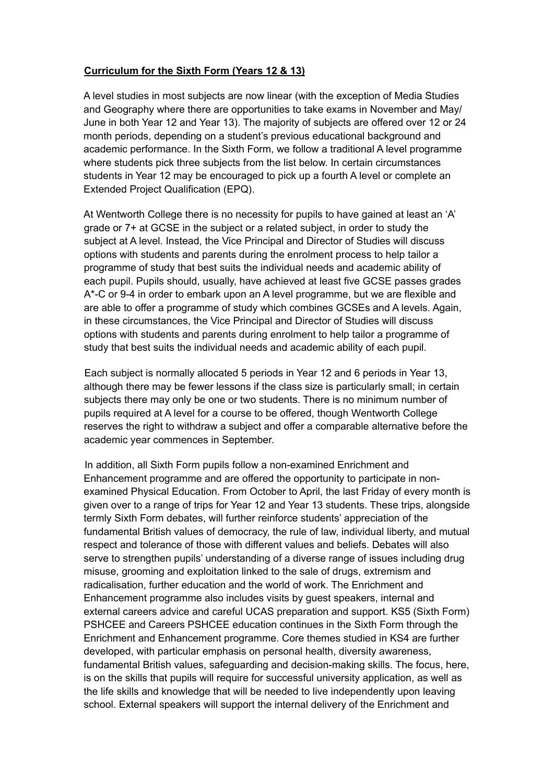#### **Curriculum for the Sixth Form (Years 12 & 13)**

A level studies in most subjects are now linear (with the exception of Media Studies and Geography where there are opportunities to take exams in November and May/ June in both Year 12 and Year 13). The majority of subjects are offered over 12 or 24 month periods, depending on a student's previous educational background and academic performance. In the Sixth Form, we follow a traditional A level programme where students pick three subjects from the list below. In certain circumstances students in Year 12 may be encouraged to pick up a fourth A level or complete an Extended Project Qualification (EPQ).

At Wentworth College there is no necessity for pupils to have gained at least an 'A' grade or 7+ at GCSE in the subject or a related subject, in order to study the subject at A level. Instead, the Vice Principal and Director of Studies will discuss options with students and parents during the enrolment process to help tailor a programme of study that best suits the individual needs and academic ability of each pupil. Pupils should, usually, have achieved at least five GCSE passes grades A\*-C or 9-4 in order to embark upon an A level programme, but we are flexible and are able to offer a programme of study which combines GCSEs and A levels. Again, in these circumstances, the Vice Principal and Director of Studies will discuss options with students and parents during enrolment to help tailor a programme of study that best suits the individual needs and academic ability of each pupil.

Each subject is normally allocated 5 periods in Year 12 and 6 periods in Year 13, although there may be fewer lessons if the class size is particularly small; in certain subjects there may only be one or two students. There is no minimum number of pupils required at A level for a course to be offered, though Wentworth College reserves the right to withdraw a subject and offer a comparable alternative before the academic year commences in September.

In addition, all Sixth Form pupils follow a non-examined Enrichment and Enhancement programme and are offered the opportunity to participate in nonexamined Physical Education. From October to April, the last Friday of every month is given over to a range of trips for Year 12 and Year 13 students. These trips, alongside termly Sixth Form debates, will further reinforce students' appreciation of the fundamental British values of democracy, the rule of law, individual liberty, and mutual respect and tolerance of those with different values and beliefs. Debates will also serve to strengthen pupils' understanding of a diverse range of issues including drug misuse, grooming and exploitation linked to the sale of drugs, extremism and radicalisation, further education and the world of work. The Enrichment and Enhancement programme also includes visits by guest speakers, internal and external careers advice and careful UCAS preparation and support. KS5 (Sixth Form) PSHCEE and Careers PSHCEE education continues in the Sixth Form through the Enrichment and Enhancement programme. Core themes studied in KS4 are further developed, with particular emphasis on personal health, diversity awareness, fundamental British values, safeguarding and decision-making skills. The focus, here, is on the skills that pupils will require for successful university application, as well as the life skills and knowledge that will be needed to live independently upon leaving school. External speakers will support the internal delivery of the Enrichment and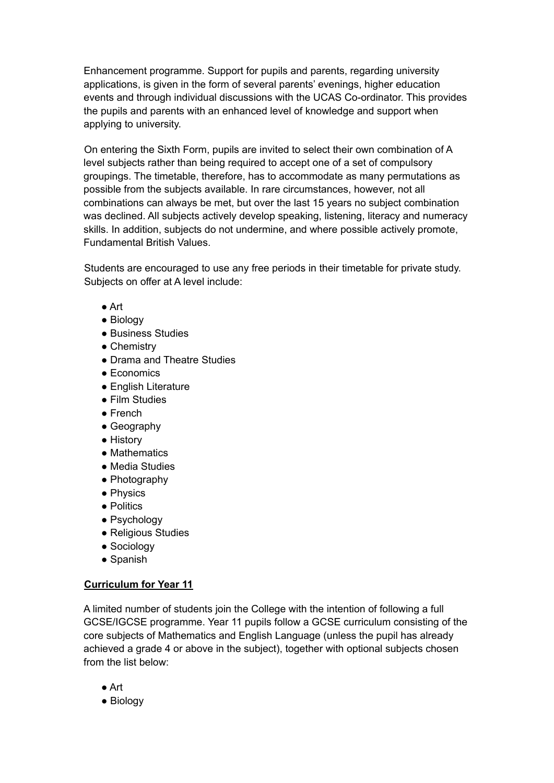Enhancement programme. Support for pupils and parents, regarding university applications, is given in the form of several parents' evenings, higher education events and through individual discussions with the UCAS Co-ordinator. This provides the pupils and parents with an enhanced level of knowledge and support when applying to university.

On entering the Sixth Form, pupils are invited to select their own combination of A level subjects rather than being required to accept one of a set of compulsory groupings. The timetable, therefore, has to accommodate as many permutations as possible from the subjects available. In rare circumstances, however, not all combinations can always be met, but over the last 15 years no subject combination was declined. All subjects actively develop speaking, listening, literacy and numeracy skills. In addition, subjects do not undermine, and where possible actively promote, Fundamental British Values.

Students are encouraged to use any free periods in their timetable for private study. Subjects on offer at A level include:

- Art
- Biology
- Business Studies
- Chemistry
- Drama and Theatre Studies
- Economics
- English Literature
- Film Studies
- French
- Geography
- History
- Mathematics
- Media Studies
- Photography
- Physics
- Politics
- Psychology
- Religious Studies
- Sociology
- Spanish

## **Curriculum for Year 11**

A limited number of students join the College with the intention of following a full GCSE/IGCSE programme. Year 11 pupils follow a GCSE curriculum consisting of the core subjects of Mathematics and English Language (unless the pupil has already achieved a grade 4 or above in the subject), together with optional subjects chosen from the list below:

- Art
- Biology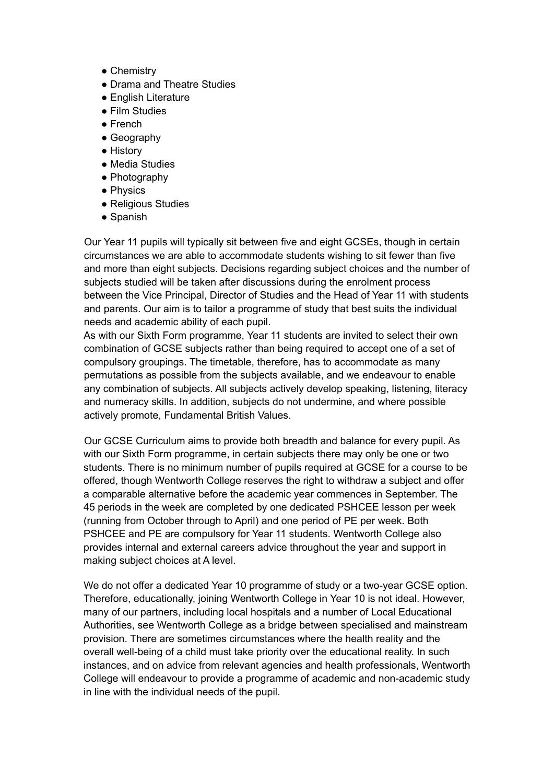- Chemistry
- Drama and Theatre Studies
- English Literature
- Film Studies
- French
- Geography
- History
- Media Studies
- Photography
- Physics
- Religious Studies
- Spanish

Our Year 11 pupils will typically sit between five and eight GCSEs, though in certain circumstances we are able to accommodate students wishing to sit fewer than five and more than eight subjects. Decisions regarding subject choices and the number of subjects studied will be taken after discussions during the enrolment process between the Vice Principal, Director of Studies and the Head of Year 11 with students and parents. Our aim is to tailor a programme of study that best suits the individual needs and academic ability of each pupil.

As with our Sixth Form programme, Year 11 students are invited to select their own combination of GCSE subjects rather than being required to accept one of a set of compulsory groupings. The timetable, therefore, has to accommodate as many permutations as possible from the subjects available, and we endeavour to enable any combination of subjects. All subjects actively develop speaking, listening, literacy and numeracy skills. In addition, subjects do not undermine, and where possible actively promote, Fundamental British Values.

Our GCSE Curriculum aims to provide both breadth and balance for every pupil. As with our Sixth Form programme, in certain subjects there may only be one or two students. There is no minimum number of pupils required at GCSE for a course to be offered, though Wentworth College reserves the right to withdraw a subject and offer a comparable alternative before the academic year commences in September. The 45 periods in the week are completed by one dedicated PSHCEE lesson per week (running from October through to April) and one period of PE per week. Both PSHCEE and PE are compulsory for Year 11 students. Wentworth College also provides internal and external careers advice throughout the year and support in making subject choices at A level.

We do not offer a dedicated Year 10 programme of study or a two-year GCSE option. Therefore, educationally, joining Wentworth College in Year 10 is not ideal. However, many of our partners, including local hospitals and a number of Local Educational Authorities, see Wentworth College as a bridge between specialised and mainstream provision. There are sometimes circumstances where the health reality and the overall well-being of a child must take priority over the educational reality. In such instances, and on advice from relevant agencies and health professionals, Wentworth College will endeavour to provide a programme of academic and non-academic study in line with the individual needs of the pupil.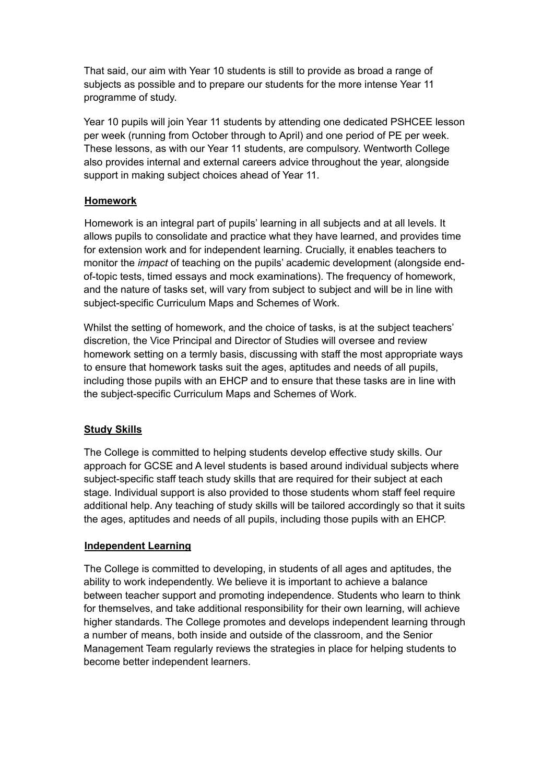That said, our aim with Year 10 students is still to provide as broad a range of subjects as possible and to prepare our students for the more intense Year 11 programme of study.

Year 10 pupils will join Year 11 students by attending one dedicated PSHCEE lesson per week (running from October through to April) and one period of PE per week. These lessons, as with our Year 11 students, are compulsory. Wentworth College also provides internal and external careers advice throughout the year, alongside support in making subject choices ahead of Year 11.

#### **Homework**

Homework is an integral part of pupils' learning in all subjects and at all levels. It allows pupils to consolidate and practice what they have learned, and provides time for extension work and for independent learning. Crucially, it enables teachers to monitor the *impact* of teaching on the pupils' academic development (alongside endof-topic tests, timed essays and mock examinations). The frequency of homework, and the nature of tasks set, will vary from subject to subject and will be in line with subject-specific Curriculum Maps and Schemes of Work.

Whilst the setting of homework, and the choice of tasks, is at the subject teachers' discretion, the Vice Principal and Director of Studies will oversee and review homework setting on a termly basis, discussing with staff the most appropriate ways to ensure that homework tasks suit the ages, aptitudes and needs of all pupils, including those pupils with an EHCP and to ensure that these tasks are in line with the subject-specific Curriculum Maps and Schemes of Work.

## **Study Skills**

The College is committed to helping students develop effective study skills. Our approach for GCSE and A level students is based around individual subjects where subject-specific staff teach study skills that are required for their subject at each stage. Individual support is also provided to those students whom staff feel require additional help. Any teaching of study skills will be tailored accordingly so that it suits the ages, aptitudes and needs of all pupils, including those pupils with an EHCP.

#### **Independent Learning**

The College is committed to developing, in students of all ages and aptitudes, the ability to work independently. We believe it is important to achieve a balance between teacher support and promoting independence. Students who learn to think for themselves, and take additional responsibility for their own learning, will achieve higher standards. The College promotes and develops independent learning through a number of means, both inside and outside of the classroom, and the Senior Management Team regularly reviews the strategies in place for helping students to become better independent learners.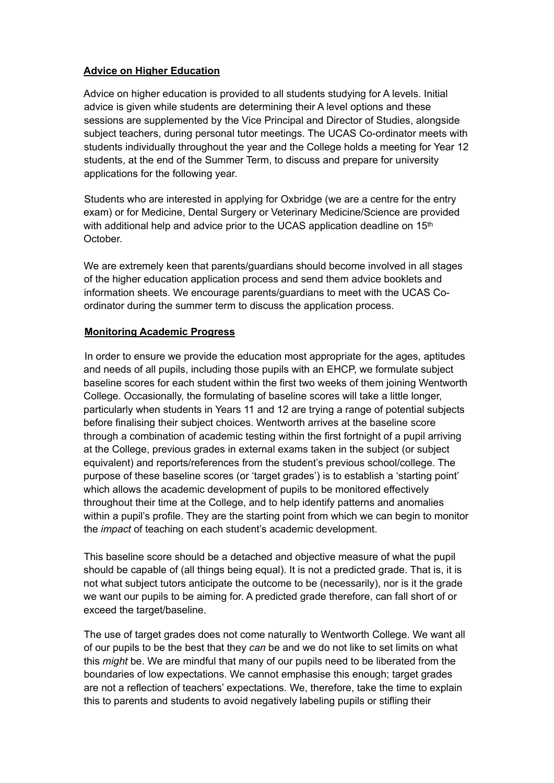## **Advice on Higher Education**

Advice on higher education is provided to all students studying for A levels. Initial advice is given while students are determining their A level options and these sessions are supplemented by the Vice Principal and Director of Studies, alongside subject teachers, during personal tutor meetings. The UCAS Co-ordinator meets with students individually throughout the year and the College holds a meeting for Year 12 students, at the end of the Summer Term, to discuss and prepare for university applications for the following year.

Students who are interested in applying for Oxbridge (we are a centre for the entry exam) or for Medicine, Dental Surgery or Veterinary Medicine/Science are provided with additional help and advice prior to the UCAS application deadline on 15<sup>th</sup> October.

We are extremely keen that parents/guardians should become involved in all stages of the higher education application process and send them advice booklets and information sheets. We encourage parents/guardians to meet with the UCAS Coordinator during the summer term to discuss the application process.

#### **Monitoring Academic Progress**

In order to ensure we provide the education most appropriate for the ages, aptitudes and needs of all pupils, including those pupils with an EHCP, we formulate subject baseline scores for each student within the first two weeks of them joining Wentworth College. Occasionally, the formulating of baseline scores will take a little longer, particularly when students in Years 11 and 12 are trying a range of potential subjects before finalising their subject choices. Wentworth arrives at the baseline score through a combination of academic testing within the first fortnight of a pupil arriving at the College, previous grades in external exams taken in the subject (or subject equivalent) and reports/references from the student's previous school/college. The purpose of these baseline scores (or 'target grades') is to establish a 'starting point' which allows the academic development of pupils to be monitored effectively throughout their time at the College, and to help identify patterns and anomalies within a pupil's profile. They are the starting point from which we can begin to monitor the *impact* of teaching on each student's academic development.

This baseline score should be a detached and objective measure of what the pupil should be capable of (all things being equal). It is not a predicted grade. That is, it is not what subject tutors anticipate the outcome to be (necessarily), nor is it the grade we want our pupils to be aiming for. A predicted grade therefore, can fall short of or exceed the target/baseline.

The use of target grades does not come naturally to Wentworth College. We want all of our pupils to be the best that they *can* be and we do not like to set limits on what this *might* be. We are mindful that many of our pupils need to be liberated from the boundaries of low expectations. We cannot emphasise this enough; target grades are not a reflection of teachers' expectations. We, therefore, take the time to explain this to parents and students to avoid negatively labeling pupils or stifling their